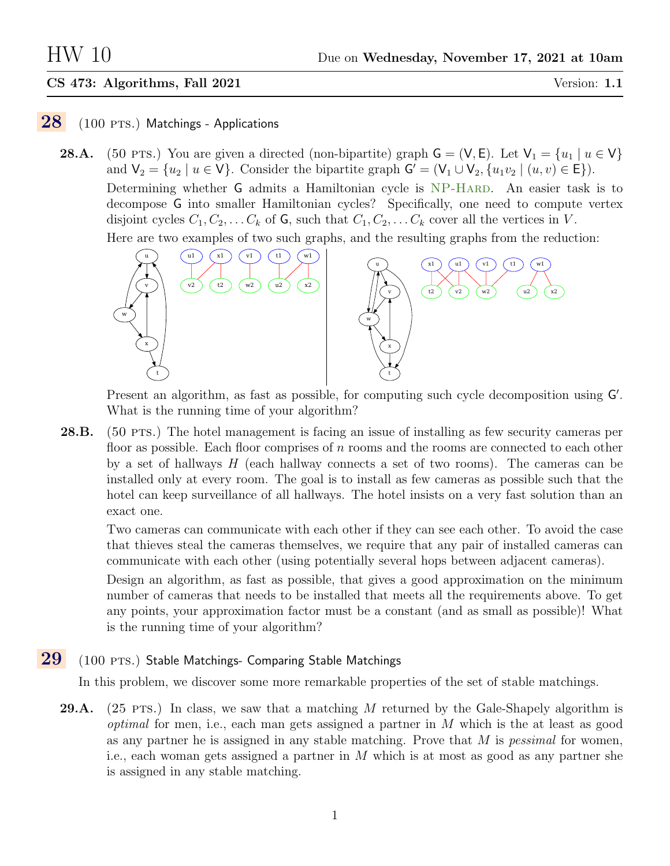## CS 473: Algorithms, Fall 2021 Version: 1.1

# $28$  (100 PTS.) Matchings - Applications

**28.A.** (50 PTS.) You are given a directed (non-bipartite) graph  $\mathsf{G} = (\mathsf{V}, \mathsf{E})$ . Let  $\mathsf{V}_1 = \{u_1 \mid u \in \mathsf{V}\}\$ and  $\mathsf{V}_2 = \{u_2 \mid u \in \mathsf{V}\}\$ . Consider the bipartite graph  $\mathsf{G}' = (\mathsf{V}_1 \cup \mathsf{V}_2, \{u_1v_2 \mid (u, v) \in \mathsf{E}\})\$ . Determining whether G admits a Hamiltonian cycle is NP-HARD. An easier task is to decompose G into smaller Hamiltonian cycles? Specifically, one need to compute vertex disjoint cycles  $C_1, C_2, \ldots C_k$  of G, such that  $C_1, C_2, \ldots C_k$  cover all the vertices in V.

Here are two examples of two such graphs, and the resulting graphs from the reduction:



Present an algorithm, as fast as possible, for computing such cycle decomposition using G'. What is the running time of your algorithm?

28.B. (50 pts.) The hotel management is facing an issue of installing as few security cameras per floor as possible. Each floor comprises of  $n$  rooms and the rooms are connected to each other by a set of hallways  $H$  (each hallway connects a set of two rooms). The cameras can be installed only at every room. The goal is to install as few cameras as possible such that the hotel can keep surveillance of all hallways. The hotel insists on a very fast solution than an exact one.

Two cameras can communicate with each other if they can see each other. To avoid the case that thieves steal the cameras themselves, we require that any pair of installed cameras can communicate with each other (using potentially several hops between adjacent cameras).

Design an algorithm, as fast as possible, that gives a good approximation on the minimum number of cameras that needs to be installed that meets all the requirements above. To get any points, your approximation factor must be a constant (and as small as possible)! What is the running time of your algorithm?

# $29$  (100 PTS.) Stable Matchings- Comparing Stable Matchings

In this problem, we discover some more remarkable properties of the set of stable matchings.

**29.A.** (25 PTS.) In class, we saw that a matching M returned by the Gale-Shapely algorithm is *optimal* for men, i.e., each man gets assigned a partner in  $M$  which is the at least as good as any partner he is assigned in any stable matching. Prove that  $M$  is *pessimal* for women, i.e., each woman gets assigned a partner in M which is at most as good as any partner she is assigned in any stable matching.